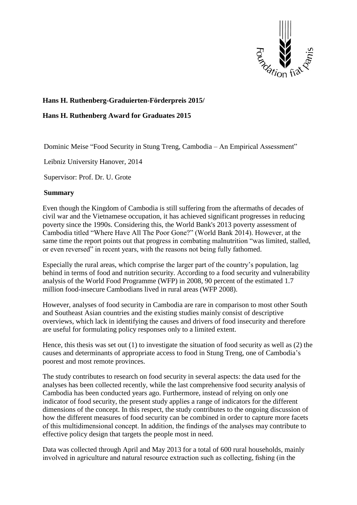

## **Hans H. Ruthenberg-Graduierten-Förderpreis 2015/**

## **Hans H. Ruthenberg Award for Graduates 2015**

Dominic Meise "Food Security in Stung Treng, Cambodia – An Empirical Assessment"

Leibniz University Hanover, 2014

Supervisor: Prof. Dr. U. Grote

## **Summary**

Even though the Kingdom of Cambodia is still suffering from the aftermaths of decades of civil war and the Vietnamese occupation, it has achieved significant progresses in reducing poverty since the 1990s. Considering this, the World Bank's 2013 poverty assessment of Cambodia titled "Where Have All The Poor Gone?" (World Bank 2014). However, at the same time the report points out that progress in combating malnutrition "was limited, stalled, or even reversed" in recent years, with the reasons not being fully fathomed.

Especially the rural areas, which comprise the larger part of the country's population, lag behind in terms of food and nutrition security. According to a food security and vulnerability analysis of the World Food Programme (WFP) in 2008, 90 percent of the estimated 1.7 million food-insecure Cambodians lived in rural areas (WFP 2008).

However, analyses of food security in Cambodia are rare in comparison to most other South and Southeast Asian countries and the existing studies mainly consist of descriptive overviews, which lack in identifying the causes and drivers of food insecurity and therefore are useful for formulating policy responses only to a limited extent.

Hence, this thesis was set out  $(1)$  to investigate the situation of food security as well as  $(2)$  the causes and determinants of appropriate access to food in Stung Treng, one of Cambodia's poorest and most remote provinces.

The study contributes to research on food security in several aspects: the data used for the analyses has been collected recently, while the last comprehensive food security analysis of Cambodia has been conducted years ago. Furthermore, instead of relying on only one indicator of food security, the present study applies a range of indicators for the different dimensions of the concept. In this respect, the study contributes to the ongoing discussion of how the different measures of food security can be combined in order to capture more facets of this multidimensional concept. In addition, the findings of the analyses may contribute to effective policy design that targets the people most in need.

Data was collected through April and May 2013 for a total of 600 rural households, mainly involved in agriculture and natural resource extraction such as collecting, fishing (in the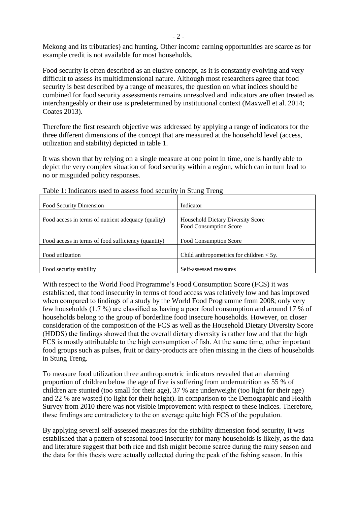Mekong and its tributaries) and hunting. Other income earning opportunities are scarce as for example credit is not available for most households.

Food security is often described as an elusive concept, as it is constantly evolving and very difficult to assess its multidimensional nature. Although most researchers agree that food security is best described by a range of measures, the question on what indices should be combined for food security assessments remains unresolved and indicators are often treated as interchangeably or their use is predetermined by institutional context (Maxwell et al. 2014; Coates 2013).

Therefore the first research objective was addressed by applying a range of indicators for the three different dimensions of the concept that are measured at the household level (access, utilization and stability) depicted in table 1.

It was shown that by relying on a single measure at one point in time, one is hardly able to depict the very complex situation of food security within a region, which can in turn lead to no or misguided policy responses.

| Food Security Dimension                             | Indicator                                                          |
|-----------------------------------------------------|--------------------------------------------------------------------|
| Food access in terms of nutrient adequacy (quality) | <b>Household Dietary Diversity Score</b><br>Food Consumption Score |
| Food access in terms of food sufficiency (quantity) | Food Consumption Score                                             |
| Food utilization                                    | Child anthropometrics for children $< 5y$ .                        |
| Food security stability                             | Self-assessed measures                                             |

Table 1: Indicators used to assess food security in Stung Treng

With respect to the World Food Programme's Food Consumption Score (FCS) it was established, that food insecurity in terms of food access was relatively low and has improved when compared to findings of a study by the World Food Programme from 2008; only very few households (1.7 %) are classified as having a poor food consumption and around 17 % of households belong to the group of borderline food insecure households. However, on closer consideration of the composition of the FCS as well as the Household Dietary Diversity Score (HDDS) the findings showed that the overall dietary diversity is rather low and that the high FCS is mostly attributable to the high consumption of fish. At the same time, other important food groups such as pulses, fruit or dairy-products are often missing in the diets of households in Stung Treng.

To measure food utilization three anthropometric indicators revealed that an alarming proportion of children below the age of five is suffering from undernutrition as 55 % of children are stunted (too small for their age), 37 % are underweight (too light for their age) and 22 % are wasted (to light for their height). In comparison to the Demographic and Health Survey from 2010 there was not visible improvement with respect to these indices. Therefore, these findings are contradictory to the on average quite high FCS of the population.

By applying several self-assessed measures for the stability dimension food security, it was established that a pattern of seasonal food insecurity for many households is likely, as the data and literature suggest that both rice and fish might become scarce during the rainy season and the data for this thesis were actually collected during the peak of the fishing season. In this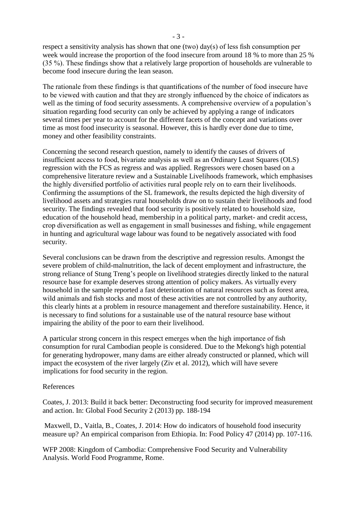respect a sensitivity analysis has shown that one (two) day(s) of less fish consumption per week would increase the proportion of the food insecure from around 18 % to more than 25 % (35 %). These findings show that a relatively large proportion of households are vulnerable to become food insecure during the lean season.

The rationale from these findings is that quantifications of the number of food insecure have to be viewed with caution and that they are strongly influenced by the choice of indicators as well as the timing of food security assessments. A comprehensive overview of a population's situation regarding food security can only be achieved by applying a range of indicators several times per year to account for the different facets of the concept and variations over time as most food insecurity is seasonal. However, this is hardly ever done due to time, money and other feasibility constraints.

Concerning the second research question, namely to identify the causes of drivers of insufficient access to food, bivariate analysis as well as an Ordinary Least Squares (OLS) regression with the FCS as regress and was applied. Regressors were chosen based on a comprehensive literature review and a Sustainable Livelihoods framework, which emphasises the highly diversified portfolio of activities rural people rely on to earn their livelihoods. Confirming the assumptions of the SL framework, the results depicted the high diversity of livelihood assets and strategies rural households draw on to sustain their livelihoods and food security. The findings revealed that food security is positively related to household size, education of the household head, membership in a political party, market- and credit access, crop diversification as well as engagement in small businesses and fishing, while engagement in hunting and agricultural wage labour was found to be negatively associated with food security.

Several conclusions can be drawn from the descriptive and regression results. Amongst the severe problem of child-malnutrition, the lack of decent employment and infrastructure, the strong reliance of Stung Treng's people on livelihood strategies directly linked to the natural resource base for example deserves strong attention of policy makers. As virtually every household in the sample reported a fast deterioration of natural resources such as forest area, wild animals and fish stocks and most of these activities are not controlled by any authority, this clearly hints at a problem in resource management and therefore sustainability. Hence, it is necessary to find solutions for a sustainable use of the natural resource base without impairing the ability of the poor to earn their livelihood.

A particular strong concern in this respect emerges when the high importance of fish consumption for rural Cambodian people is considered. Due to the Mekong's high potential for generating hydropower, many dams are either already constructed or planned, which will impact the ecosystem of the river largely (Ziv et al. 2012), which will have severe implications for food security in the region.

## References

Coates, J. 2013: Build it back better: Deconstructing food security for improved measurement and action. In: Global Food Security 2 (2013) pp. 188-194

Maxwell, D., Vaitla, B., Coates, J. 2014: How do indicators of household food insecurity measure up? An empirical comparison from Ethiopia. In: Food Policy 47 (2014) pp. 107-116.

WFP 2008: Kingdom of Cambodia: Comprehensive Food Security and Vulnerability Analysis. World Food Programme, Rome.